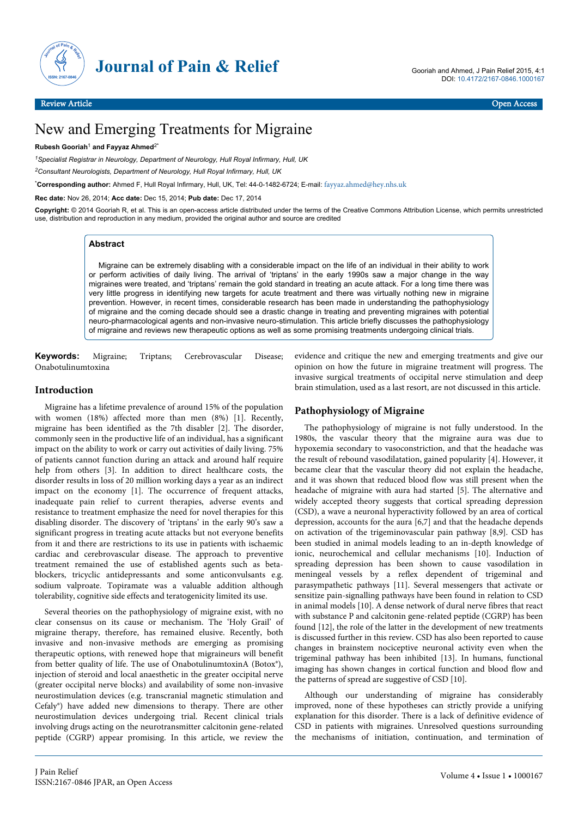

# New and Emerging Treatments for Migraine

#### **Rubesh Gooriah**<sup>1</sup>  **and Fayyaz Ahmed**2\*

*<sup>1</sup>Specialist Registrar in Neurology, Department of Neurology, Hull Royal Infirmary, Hull, UK*

*<sup>2</sup>Consultant Neurologists, Department of Neurology, Hull Royal Infirmary, Hull, UK*

\***Corresponding author:** Ahmed F, Hull Royal Infirmary, Hull, UK, Tel: 44-0-1482-6724; E-mail: [fayyaz.ahmed@hey.nhs.uk](mailto:fayyaz.ahmed@hey.nhs.uk)

**Rec date:** Nov 26, 2014; **Acc date:** Dec 15, 2014; **Pub date:** Dec 17, 2014

**Copyright:** © 2014 Gooriah R, et al. This is an open-access article distributed under the terms of the Creative Commons Attribution License, which permits unrestricted use, distribution and reproduction in any medium, provided the original author and source are credited

# **Abstract**

Migraine can be extremely disabling with a considerable impact on the life of an individual in their ability to work or perform activities of daily living. The arrival of 'triptans' in the early 1990s saw a major change in the way migraines were treated, and 'triptans' remain the gold standard in treating an acute attack. For a long time there was very little progress in identifying new targets for acute treatment and there was virtually nothing new in migraine prevention. However, in recent times, considerable research has been made in understanding the pathophysiology of migraine and the coming decade should see a drastic change in treating and preventing migraines with potential neuro-pharmacological agents and non-invasive neuro-stimulation. This article briefly discusses the pathophysiology of migraine and reviews new therapeutic options as well as some promising treatments undergoing clinical trials.

**Keywords:** Migraine; Triptans; Cerebrovascular Disease; Onabotulinumtoxina

## **Introduction**

Migraine has a lifetime prevalence of around 15% of the population with women (18%) affected more than men (8%) [1]. Recently, migraine has been identified as the 7th disabler [2]. The disorder, commonly seen in the productive life of an individual, has a significant impact on the ability to work or carry out activities of daily living. 75% of patients cannot function during an attack and around half require help from others [3]. In addition to direct healthcare costs, the disorder results in loss of 20 million working days a year as an indirect impact on the economy [1]. The occurrence of frequent attacks, inadequate pain relief to current therapies, adverse events and resistance to treatment emphasize the need for novel therapies for this disabling disorder. The discovery of 'triptans' in the early 90's saw a significant progress in treating acute attacks but not everyone benefits from it and there are restrictions to its use in patients with ischaemic cardiac and cerebrovascular disease. The approach to preventive treatment remained the use of established agents such as betablockers, tricyclic antidepressants and some anticonvulsants e.g. sodium valproate. Topiramate was a valuable addition although tolerability, cognitive side effects and teratogenicity limited its use.

Several theories on the pathophysiology of migraine exist, with no clear consensus on its cause or mechanism. The 'Holy Grail' of migraine therapy, therefore, has remained elusive. Recently, both invasive and non-invasive methods are emerging as promising therapeutic options, with renewed hope that migraineurs will benefit from better quality of life. The use of OnabotulinumtoxinA (Botox®), injection of steroid and local anaesthetic in the greater occipital nerve (greater occipital nerve blocks) and availability of some non-invasive neurostimulation devices (e.g. transcranial magnetic stimulation and Cefaly®) have added new dimensions to therapy. There are other neurostimulation devices undergoing trial. Recent clinical trials involving drugs acting on the neurotransmitter calcitonin gene-related peptide (CGRP) appear promising. In this article, we review the

evidence and critique the new and emerging treatments and give our opinion on how the future in migraine treatment will progress. The invasive surgical treatments of occipital nerve stimulation and deep brain stimulation, used as a last resort, are not discussed in this article.

# **Pathophysiology of Migraine**

The pathophysiology of migraine is not fully understood. In the 1980s, the vascular theory that the migraine aura was due to hypoxemia secondary to vasoconstriction, and that the headache was the result of rebound vasodilatation, gained popularity [4]. However, it became clear that the vascular theory did not explain the headache, and it was shown that reduced blood flow was still present when the headache of migraine with aura had started [5]. The alternative and widely accepted theory suggests that cortical spreading depression (CSD), a wave a neuronal hyperactivity followed by an area of cortical depression, accounts for the aura [6,7] and that the headache depends on activation of the trigeminovascular pain pathway [8,9]. CSD has been studied in animal models leading to an in-depth knowledge of ionic, neurochemical and cellular mechanisms [10]. Induction of spreading depression has been shown to cause vasodilation in meningeal vessels by a reflex dependent of trigeminal and parasympathetic pathways [11]. Several messengers that activate or sensitize pain-signalling pathways have been found in relation to CSD in animal models [10]. A dense network of dural nerve fibres that react with substance P and calcitonin gene-related peptide (CGRP) has been found [12], the role of the latter in the development of new treatments is discussed further in this review. CSD has also been reported to cause changes in brainstem nociceptive neuronal activity even when the trigeminal pathway has been inhibited [13]. In humans, functional imaging has shown changes in cortical function and blood flow and the patterns of spread are suggestive of CSD [10].

Although our understanding of migraine has considerably improved, none of these hypotheses can strictly provide a unifying explanation for this disorder. There is a lack of definitive evidence of CSD in patients with migraines. Unresolved questions surrounding the mechanisms of initiation, continuation, and termination of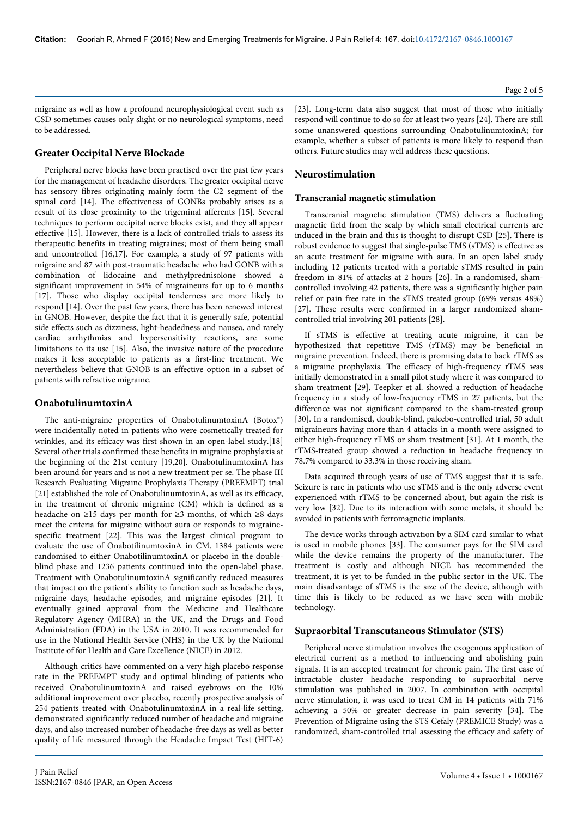migraine as well as how a profound neurophysiological event such as CSD sometimes causes only slight or no neurological symptoms, need to be addressed.

# **Greater Occipital Nerve Blockade**

Peripheral nerve blocks have been practised over the past few years for the management of headache disorders. The greater occipital nerve has sensory fibres originating mainly form the C2 segment of the spinal cord [14]. The effectiveness of GONBs probably arises as a result of its close proximity to the trigeminal afferents [15]. Several techniques to perform occipital nerve blocks exist, and they all appear effective [15]. However, there is a lack of controlled trials to assess its therapeutic benefits in treating migraines; most of them being small and uncontrolled [16,17]. For example, a study of 97 patients with migraine and 87 with post-traumatic headache who had GONB with a combination of lidocaine and methylprednisolone showed a significant improvement in 54% of migraineurs for up to 6 months [17]. Those who display occipital tenderness are more likely to respond [14]. Over the past few years, there has been renewed interest in GNOB. However, despite the fact that it is generally safe, potential side effects such as dizziness, light-headedness and nausea, and rarely cardiac arrhythmias and hypersensitivity reactions, are some limitations to its use [15]. Also, the invasive nature of the procedure makes it less acceptable to patients as a first-line treatment. We nevertheless believe that GNOB is an effective option in a subset of patients with refractive migraine.

## **OnabotulinumtoxinA**

The anti-migraine properties of OnabotulinumtoxinA (Botox®) were incidentally noted in patients who were cosmetically treated for wrinkles, and its efficacy was first shown in an open-label study.[18] Several other trials confirmed these benefits in migraine prophylaxis at the beginning of the 21st century [19,20]. OnabotulinumtoxinA has been around for years and is not a new treatment per se. The phase III Research Evaluating Migraine Prophylaxis Therapy (PREEMPT) trial [21] established the role of OnabotulinumtoxinA, as well as its efficacy, in the treatment of chronic migraine (CM) which is defined as a headache on ≥15 days per month for ≥3 months, of which ≥8 days meet the criteria for migraine without aura or responds to migrainespecific treatment [22]. This was the largest clinical program to evaluate the use of OnabotilinumtoxinA in CM. 1384 patients were randomised to either OnabotilinumtoxinA or placebo in the doubleblind phase and 1236 patients continued into the open-label phase. Treatment with OnabotulinumtoxinA significantly reduced measures that impact on the patient's ability to function such as headache days, migraine days, headache episodes, and migraine episodes [21]. It eventually gained approval from the Medicine and Healthcare Regulatory Agency (MHRA) in the UK, and the Drugs and Food Administration (FDA) in the USA in 2010. It was recommended for use in the National Health Service (NHS) in the UK by the National Institute of for Health and Care Excellence (NICE) in 2012.

Although critics have commented on a very high placebo response rate in the PREEMPT study and optimal blinding of patients who received OnabotulinumtoxinA and raised eyebrows on the 10% additional improvement over placebo, recently prospective analysis of 254 patients treated with OnabotulinumtoxinA in a real-life setting, demonstrated significantly reduced number of headache and migraine days, and also increased number of headache-free days as well as better quality of life measured through the Headache Impact Test (HIT-6)

[23]. Long-term data also suggest that most of those who initially respond will continue to do so for at least two years [24]. There are still some unanswered questions surrounding OnabotulinumtoxinA; for example, whether a subset of patients is more likely to respond than others. Future studies may well address these questions.

# **Neurostimulation**

#### **Transcranial magnetic stimulation**

Transcranial magnetic stimulation (TMS) delivers a fluctuating magnetic field from the scalp by which small electrical currents are induced in the brain and this is thought to disrupt CSD [25]. There is robust evidence to suggest that single-pulse TMS (sTMS) is effective as an acute treatment for migraine with aura. In an open label study including 12 patients treated with a portable sTMS resulted in pain freedom in 81% of attacks at 2 hours [26]. In a randomised, shamcontrolled involving 42 patients, there was a significantly higher pain relief or pain free rate in the sTMS treated group (69% versus 48%) [27]. These results were confirmed in a larger randomized shamcontrolled trial involving 201 patients [28].

If sTMS is effective at treating acute migraine, it can be hypothesized that repetitive TMS (rTMS) may be beneficial in migraine prevention. Indeed, there is promising data to back rTMS as a migraine prophylaxis. The efficacy of high-frequency rTMS was initially demonstrated in a small pilot study where it was compared to sham treatment [29]. Teepker et al. showed a reduction of headache frequency in a study of low-frequency rTMS in 27 patients, but the difference was not significant compared to the sham-treated group [30]. In a randomised, double-blind, palcebo-controlled trial, 50 adult migraineurs having more than 4 attacks in a month were assigned to either high-frequency rTMS or sham treatment [31]. At 1 month, the rTMS-treated group showed a reduction in headache frequency in 78.7% compared to 33.3% in those receiving sham.

Data acquired through years of use of TMS suggest that it is safe. Seizure is rare in patients who use sTMS and is the only adverse event experienced with rTMS to be concerned about, but again the risk is very low [32]. Due to its interaction with some metals, it should be avoided in patients with ferromagnetic implants.

The device works through activation by a SIM card similar to what is used in mobile phones [33]. The consumer pays for the SIM card while the device remains the property of the manufacturer. The treatment is costly and although NICE has recommended the treatment, it is yet to be funded in the public sector in the UK. The main disadvantage of sTMS is the size of the device, although with time this is likely to be reduced as we have seen with mobile technology.

## **Supraorbital Transcutaneous Stimulator (STS)**

Peripheral nerve stimulation involves the exogenous application of electrical current as a method to influencing and abolishing pain signals. It is an accepted treatment for chronic pain. The first case of intractable cluster headache responding to supraorbital nerve stimulation was published in 2007. In combination with occipital nerve stimulation, it was used to treat CM in 14 patients with 71% achieving a 50% or greater decrease in pain severity [34]. The Prevention of Migraine using the STS Cefaly (PREMICE Study) was a randomized, sham-controlled trial assessing the efficacy and safety of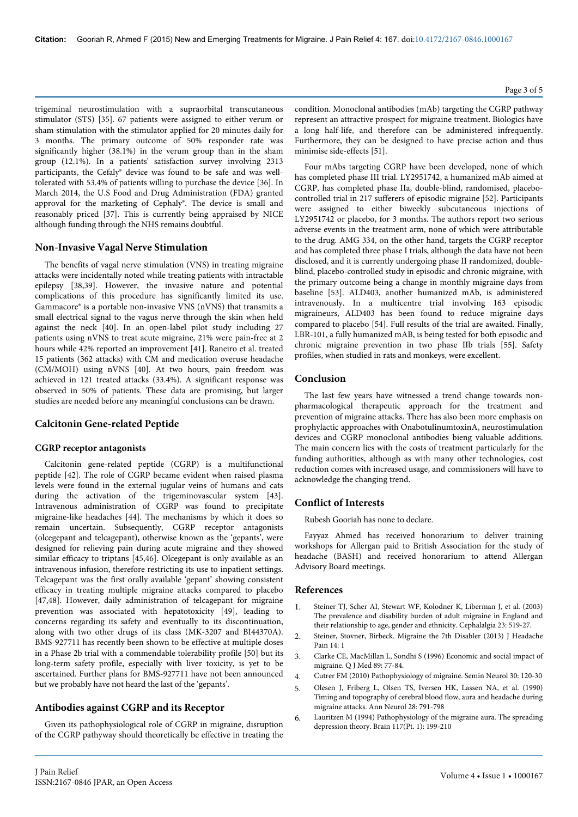trigeminal neurostimulation with a supraorbital transcutaneous stimulator (STS) [35]. 67 patients were assigned to either verum or sham stimulation with the stimulator applied for 20 minutes daily for 3 months. The primary outcome of 50% responder rate was significantly higher (38.1%) in the verum group than in the sham group (12.1%). In a patients' satisfaction survey involving 2313 participants, the Cefaly® device was found to be safe and was welltolerated with 53.4% of patients willing to purchase the device [36]. In March 2014, the U.S Food and Drug Administration (FDA) granted approval for the marketing of Cephaly®. The device is small and reasonably priced [37]. This is currently being appraised by NICE although funding through the NHS remains doubtful.

#### **Non-Invasive Vagal Nerve Stimulation**

The benefits of vagal nerve stimulation (VNS) in treating migraine attacks were incidentally noted while treating patients with intractable epilepsy [38,39]. However, the invasive nature and potential complications of this procedure has significantly limited its use. Gammacore® is a portable non-invasive VNS (nVNS) that transmits a small electrical signal to the vagus nerve through the skin when held against the neck [40]. In an open-label pilot study including 27 patients using nVNS to treat acute migraine, 21% were pain-free at 2 hours while 42% reported an improvement [41]. Raneiro et al. treated 15 patients (362 attacks) with CM and medication overuse headache (CM/MOH) using nVNS [40]. At two hours, pain freedom was achieved in 121 treated attacks (33.4%). A significant response was observed in 50% of patients. These data are promising, but larger studies are needed before any meaningful conclusions can be drawn.

#### **Calcitonin Gene-related Peptide**

#### **CGRP receptor antagonists**

Calcitonin gene-related peptide (CGRP) is a multifunctional peptide [42]. The role of CGRP became evident when raised plasma levels were found in the external jugular veins of humans and cats during the activation of the trigeminovascular system [43]. Intravenous administration of CGRP was found to precipitate migraine-like headaches [44]. The mechanisms by which it does so remain uncertain. Subsequently, CGRP receptor antagonists (olcegepant and telcagepant), otherwise known as the 'gepants', were designed for relieving pain during acute migraine and they showed similar efficacy to triptans [45,46]. Olcegepant is only available as an intravenous infusion, therefore restricting its use to inpatient settings. Telcagepant was the first orally available 'gepant' showing consistent efficacy in treating multiple migraine attacks compared to placebo [47,48]. However, daily administration of telcagepant for migraine prevention was associated with hepatotoxicity [49], leading to concerns regarding its safety and eventually to its discontinuation, along with two other drugs of its class (MK-3207 and BI44370A). BMS-927711 has recently been shown to be effective at multiple doses in a Phase 2b trial with a commendable tolerability profile [50] but its long-term safety profile, especially with liver toxicity, is yet to be ascertained. Further plans for BMS-927711 have not been announced but we probably have not heard the last of the 'gepants'.

#### **Antibodies against CGRP and its Receptor**

Given its pathophysiological role of CGRP in migraine, disruption of the CGRP pathyway should theoretically be effective in treating the Page 3 of 5

condition. Monoclonal antibodies (mAb) targeting the CGRP pathway represent an attractive prospect for migraine treatment. Biologics have a long half-life, and therefore can be administered infrequently. Furthermore, they can be designed to have precise action and thus minimise side-effects [51].

Four mAbs targeting CGRP have been developed, none of which has completed phase III trial. LY2951742, a humanized mAb aimed at CGRP, has completed phase IIa, double-blind, randomised, placebocontrolled trial in 217 sufferers of episodic migraine [52]. Participants were assigned to either biweekly subcutaneous injections of LY2951742 or placebo, for 3 months. The authors report two serious adverse events in the treatment arm, none of which were attributable to the drug. AMG 334, on the other hand, targets the CGRP receptor and has completed three phase I trials, although the data have not been disclosed, and it is currently undergoing phase II randomized, doubleblind, placebo-controlled study in episodic and chronic migraine, with the primary outcome being a change in monthly migraine days from baseline [53]. ALD403, another humanized mAb, is administered intravenously. In a multicentre trial involving 163 episodic migraineurs, ALD403 has been found to reduce migraine days compared to placebo [54]. Full results of the trial are awaited. Finally, LBR-101, a fully humanized mAB, is being tested for both episodic and chronic migraine prevention in two phase IIb trials [55]. Safety profiles, when studied in rats and monkeys, were excellent.

## **Conclusion**

The last few years have witnessed a trend change towards nonpharmacological therapeutic approach for the treatment and prevention of migraine attacks. There has also been more emphasis on prophylactic approaches with OnabotulinumtoxinA, neurostimulation devices and CGRP monoclonal antibodies bieng valuable additions. The main concern lies with the costs of treatment particularly for the funding authorities, although as with many other technologies, cost reduction comes with increased usage, and commissioners will have to acknowledge the changing trend.

#### **Conflict of Interests**

Rubesh Gooriah has none to declare.

Fayyaz Ahmed has received honorarium to deliver training workshops for Allergan paid to British Association for the study of headache (BASH) and received honorarium to attend Allergan Advisory Board meetings.

#### **References**

- 1. [Steiner TJ, Scher AI, Stewart WF, Kolodner K, Liberman J, et al. \(2003\)](http://www.ncbi.nlm.nih.gov/pubmed/12950377) [The prevalence and disability burden of adult migraine in England and](http://www.ncbi.nlm.nih.gov/pubmed/12950377) [their relationship to age, gender and ethnicity. Cephalalgia 23: 519-27.](http://www.ncbi.nlm.nih.gov/pubmed/12950377)
- 2. Steiner, Stovner, Birbeck. Migraine the 7th Disabler (2013) J Headache Pain 14: 1
- 3. [Clarke CE, MacMillan L, Sondhi S \(1996\) Economic and social impact of](http://qjmed.oxfordjournals.org/content/qjmed/89/1/77.full.pdf) [migraine. Q J Med 89: 77-84](http://qjmed.oxfordjournals.org/content/qjmed/89/1/77.full.pdf).
- 4. Cutrer FM (2010) Pathophysiology of migraine. Semin Neurol 30: 120-30
- 5. [Olesen J, Friberg L, Olsen TS, Iversen HK, Lassen NA, et al. \(1990\)](http://www.ncbi.nlm.nih.gov/pubmed/2285266) [Timing and topography of cerebral blood flow, aura and headache during](http://www.ncbi.nlm.nih.gov/pubmed/2285266) [migraine attacks. Ann Neurol 28: 791-798](http://www.ncbi.nlm.nih.gov/pubmed/2285266)
- 6. [Lauritzen M \(1994\) Pathophysiology of the migraine aura. The spreading](http://www.ncbi.nlm.nih.gov/pubmed/7908596) [depression theory. Brain 117\(Pt. 1\): 199-210](http://www.ncbi.nlm.nih.gov/pubmed/7908596)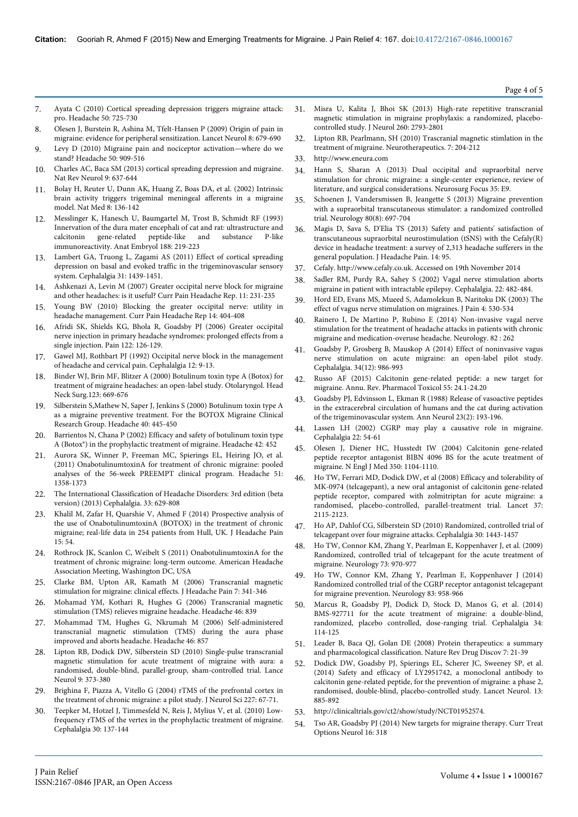- 7. [Ayata C \(2010\) Cortical spreading depression triggers migraine attack:](http://www.ncbi.nlm.nih.gov/pubmed/20456160) [pro. Headache 50: 725-730](http://www.ncbi.nlm.nih.gov/pubmed/20456160)
- 8. [Olesen J, Burstein R, Ashina M, Tfelt-Hansen P \(2009\) Origin of pain in](http://www.ncbi.nlm.nih.gov/pubmed/19539239) [migraine: evidence for peripheral sensitization. Lancet Neurol 8: 679-690](http://www.ncbi.nlm.nih.gov/pubmed/19539239)
- [Levy D \(2010\) Migraine pain and nociceptor activation—where do we](http://www.ncbi.nlm.nih.gov/pubmed/20546325) [stand? Headache 50: 909-516](http://www.ncbi.nlm.nih.gov/pubmed/20546325)
- 10. [Charles AC, Baca SM \(2013\) cortical spreading depression and migraine.](http://www.ncbi.nlm.nih.gov/pubmed/24042483) [Nat Rev Neurol 9: 637-644](http://www.ncbi.nlm.nih.gov/pubmed/24042483)
- 11. [Bolay H, Reuter U, Dunn AK, Huang Z, Boas DA, et al. \(2002\) Intrinsic](http://www.ncbi.nlm.nih.gov/pubmed/11821897) [brain activity triggers trigeminal meningeal afferents in a migraine](http://www.ncbi.nlm.nih.gov/pubmed/11821897) [model. Nat Med 8: 136-142](http://www.ncbi.nlm.nih.gov/pubmed/11821897)
- 12. [Messlinger K, Hanesch U, Baumgartel M, Trost B, Schmidt RF \(1993\)](http://www.ncbi.nlm.nih.gov/pubmed/7504417) [Innervation of the dura mater encephali of cat and rat: ultrastructure and](http://www.ncbi.nlm.nih.gov/pubmed/7504417) calcitonin gene-related peptide-like and substance P-like [calcitonin gene-related peptide-like and substance P-like](http://www.ncbi.nlm.nih.gov/pubmed/7504417) [immunoreactivity. Anat Embryol 188: 219-223](http://www.ncbi.nlm.nih.gov/pubmed/7504417)
- [Lambert GA, Truong L, Zagami AS \(2011\) Effect of cortical spreading](http://www.ncbi.nlm.nih.gov/pubmed/21940490) [depression on basal and evoked traffic in the trigeminovascular sensory](http://www.ncbi.nlm.nih.gov/pubmed/21940490) [system. Cephalalgia 31: 1439-1451.](http://www.ncbi.nlm.nih.gov/pubmed/21940490)
- 14. [Ashkenazi A, Levin M \(2007\) Greater occipital nerve block for migraine](http://www.ncbi.nlm.nih.gov/pubmed/17504651) [and other headaches: is it useful? Curr Pain Headache Rep. 11: 231-235](http://www.ncbi.nlm.nih.gov/pubmed/17504651)
- 15. [Young BW \(2010\) Blocking the greater occipital nerve: utility in](http://www.ncbi.nlm.nih.gov/pubmed/20661785) [headache management. Curr Pain Headache Rep 14: 404-408](http://www.ncbi.nlm.nih.gov/pubmed/20661785)
- 16. [Afridi SK, Shields KG, Bhola R, Goadsby PJ \(2006\) Greater occipital](http://www.ncbi.nlm.nih.gov/pubmed/16527404) [nerve injection in primary headache syndromes: prolonged effects from a](http://www.ncbi.nlm.nih.gov/pubmed/16527404) [single injection. Pain 122: 126-129.](http://www.ncbi.nlm.nih.gov/pubmed/16527404)
- 17. [Gawel MJ, Rothbart PJ \(1992\) Occipital nerve block in the management](http://www.ncbi.nlm.nih.gov/pubmed/1559261) [of headache and cervical pain. Cephalalgia 12: 9-13.](http://www.ncbi.nlm.nih.gov/pubmed/1559261)
- 18. [Binder WJ, Brin MF, Blitzer A \(2000\) Botulinum toxin type A \(Botox\) for](http://www.ncbi.nlm.nih.gov/pubmed/11112955) [treatment of migraine headaches: an open-label study. Otolaryngol. Head](http://www.ncbi.nlm.nih.gov/pubmed/11112955) [Neck Surg.123: 669-676](http://www.ncbi.nlm.nih.gov/pubmed/11112955)
- 19. [Silberstein S,Mathew N, Saper J, Jenkins S \(2000\) Botulinum toxin type A](http://www.ncbi.nlm.nih.gov/pubmed/10849039) [as a migraine preventive treatment. For the BOTOX Migraine Clinical](http://www.ncbi.nlm.nih.gov/pubmed/10849039) [Research Group. Headache 40: 445-450](http://www.ncbi.nlm.nih.gov/pubmed/10849039)
- 20. [Barrientos N, Chana P \(2002\) Efficacy and safety of botulinum toxin type](http://www.med.nyu.edu/pmr/residency/resources/PMR%20clinics%20NA/PMR%20clinics%20NA_pain/botox%20and%20HA_PMR%20clinics.pdf/) [A \(Botox®\) in the prophylactic treatment of migraine. Headache 42: 452](http://www.med.nyu.edu/pmr/residency/resources/PMR%20clinics%20NA/PMR%20clinics%20NA_pain/botox%20and%20HA_PMR%20clinics.pdf/)
- 21. [Aurora SK, Winner P, Freeman MC, Spierings EL, Heiring JO, et al.](http://www.ncbi.nlm.nih.gov/pubmed/21883197) [\(2011\) OnabotulinumtoxinA for treatment of chronic migraine: pooled](http://www.ncbi.nlm.nih.gov/pubmed/21883197) [analyses of the 56-week PREEMPT clinical program. Headache 51:](http://www.ncbi.nlm.nih.gov/pubmed/21883197) [1358-1373](http://www.ncbi.nlm.nih.gov/pubmed/21883197)
- 22. The International Classification of Headache Disorders: 3rd edition (beta version) (2013) Cephalalgia. 33: 629-808
- 23. [Khalil M, Zafar H, Quarshie V, Ahmed F \(2014\) Prospective analysis of](http://www.ncbi.nlm.nih.gov/pubmed/25178393) [the use of OnabotulinumtoxinA \(BOTOX\) in the treatment of chronic](http://www.ncbi.nlm.nih.gov/pubmed/25178393) [migraine; real-life data in 254 patients from Hull, UK. J Headache Pain](http://www.ncbi.nlm.nih.gov/pubmed/25178393) [15: 54.](http://www.ncbi.nlm.nih.gov/pubmed/25178393)
- 24. Rothrock JK, Scanlon C, Weibelt S (2011) OnabotulinumtoxinA for the treatment of chronic migraine: long-term outcome. American Headache Association Meeting, Washington DC, USA
- 25. Clarke BM, Upton AR, Kamath M (2006) Transcranial magnetic stimulation for migraine: clinical effects. J Headache Pain 7: 341-346
- 26. Mohamad YM, Kothari R, Hughes G (2006) Transcranial magnetic stimulation (TMS) relieves migraine headache. Headache 46: 839
- 27. Mohammad TM, Hughes G, Nkrumah M (2006) Self-administered transcranial magnetic stimulation (TMS) during the aura phase improved and aborts headache. Headache 46: 857
- 28. Lipton RB, Dodick DW, Silberstein SD (2010) Single-pulse transcranial magnetic stimulation for acute treatment of migraine with aura: a randomised, double-blind, parallel-group, sham-controlled trial. Lance Neurol 9: 373-380
- 29. Brighina F, Piazza A, Vitello G (2004) rTMS of the prefrontal cortex in the treatment of chronic migraine: a pilot study. J Neurol Sci 227: 67-71.
- 30. Teepker M, Hotzel J, Timmesfeld N, Reis J, Mylius V, et al. (2010) Lowfrequency rTMS of the vertex in the prophylactic treatment of migraine. Cephalalgia 30: 137-144
- 31. Misra U, Kalita J, Bhoi SK (2013) High-rate repetitive transcranial magnetic stimulation in migraine prophylaxis: a randomized, placebocontrolled study. J Neurol 260: 2793-2801
- 32. Lipton RB, Pearlmann, SH (2010) Trascranial magnetic stimlation in the treatment of migraine. Neurotherapeutics. 7: 204-212
- 33. <http://www.eneura.com>
- 34. Hann S, Sharan A (2013) Dual occipital and supraorbital nerve stimulation for chronic migraine: a single-center experience, review of literature, and surgical considerations. Neurosurg Focus 35: E9.
- 35. Schoenen J, Vandersmissen B, Jeangette S (2013) Migraine prevention with a supraorbital transcutaneous stimulator: a randomized controlled trial. Neurology 80(8): 697-704
- 36. Magis D, Sava S, D'Elia TS (2013) Safety and patients' satisfaction of transcutaneous supraorbital neurostimulation (tSNS) with the Cefaly(R) device in headache treatment: a survey of 2,313 headache sufferers in the general population. J Headache Pain. 14: 95.
- 37. Cefaly. http://www.cefaly.co.uk. Accessed on 19th November 2014
- 38. [Sadler RM, Purdy RA, Sahey S \(2002\) Vagal nerve stimulation aborts](http://www.ncbi.nlm.nih.gov/pubmed/12133049) [migraine in patient with intractable epilepsy. Cephalalgia. 22: 482-484.](http://www.ncbi.nlm.nih.gov/pubmed/12133049)
- 39. [Hord ED, Evans MS, Mueed S, Adamolekun B, Naritoku DK \(2003\) The](http://www.ncbi.nlm.nih.gov/pubmed/14636821) [effect of vagus nerve stimulation on migraines. J Pain 4: 530-534](http://www.ncbi.nlm.nih.gov/pubmed/14636821)
- 40. [Rainero I, De Martino P, Rubino E \(2014\) Non-invasive vagal nerve](http://www.neurology.org/content/82/10_Supplement/P1.262) [stimulation for the treatment of headache attacks in patients with chronic](http://www.neurology.org/content/82/10_Supplement/P1.262) [migraine and medication-overuse headache. Neurology. 82 : 262](http://www.neurology.org/content/82/10_Supplement/P1.262)
- 41. [Goadsby P, Grosberg B, Mauskop A \(2014\) Effect of noninvasive vagus](http://www.ncbi.nlm.nih.gov/pubmed/24607501) [nerve stimulation on acute migraine: an open-label pilot study.](http://www.ncbi.nlm.nih.gov/pubmed/24607501) [Cephalalgia. 34\(12\): 986-993](http://www.ncbi.nlm.nih.gov/pubmed/24607501)
- 42. [Russo AF \(2015\) Calcitonin gene-related peptide: a new target for](http://www.ncbi.nlm.nih.gov/pubmed/25340934) [migraine. Annu. Rev. Pharmacol Toxicol 55: 24.1-24.20](http://www.ncbi.nlm.nih.gov/pubmed/25340934)
- 43. [Goadsby PJ, Edvinsson L, Ekman R \(1988\) Release of vasoactive peptides](http://www.ncbi.nlm.nih.gov/pubmed/2454066) [in the extracerebral circulation of humans and the cat during activation](http://www.ncbi.nlm.nih.gov/pubmed/2454066) [of the trigeminovascular system. Ann Neurol 23\(2\): 193-196.](http://www.ncbi.nlm.nih.gov/pubmed/2454066)
- 44. [Lassen LH \(2002\) CGRP may play a causative role in migraine.](http://www.ncbi.nlm.nih.gov/pubmed/11993614) [Cephalalgia 22: 54-61](http://www.ncbi.nlm.nih.gov/pubmed/11993614)
- 45. [Olesen J, Diener HC, Husstedt IW \(2004\) Calcitonin gene-related](http://www.ncbi.nlm.nih.gov/pubmed/15014183) [peptide receptor antagonist BIBN 4096 BS for the acute treatment of](http://www.ncbi.nlm.nih.gov/pubmed/15014183) [migraine. N Engl J Med 350: 1104-1110.](http://www.ncbi.nlm.nih.gov/pubmed/15014183)
- 46. [Ho TW, Ferrari MD, Dodick DW, et al \(2008\) Efficacy and tolerability of](http://www.ncbi.nlm.nih.gov/pubmed/19036425) [MK-0974 \(telcagepant\), a new oral antagonist of calcitonin gene-related](http://www.ncbi.nlm.nih.gov/pubmed/19036425) [peptide receptor, compared with zolmitriptan for acute migraine: a](http://www.ncbi.nlm.nih.gov/pubmed/19036425) [randomised, placebo-controlled, parallel-treatment trial. Lancet 37:](http://www.ncbi.nlm.nih.gov/pubmed/19036425) [2115-2123.](http://www.ncbi.nlm.nih.gov/pubmed/19036425)
- 47. [Ho AP, Dahlof CG, Silberstein SD \(2010\) Randomized, controlled trial of](http://www.ncbi.nlm.nih.gov/pubmed/20974601) [telcagepant over four migraine attacks. Cephalalgia 30: 1443-1457](http://www.ncbi.nlm.nih.gov/pubmed/20974601)
- 48. [Ho TW, Connor KM, Zhang Y, Pearlman E, Koppenhaver J, et al. \(2009\)](http://www.neurology.org/content/73/12/970.short) [Randomized, controlled trial of telcagepant for the acute treatment of](http://www.neurology.org/content/73/12/970.short) [migraine. Neurology 73: 970-977](http://www.neurology.org/content/73/12/970.short)
- 49. [Ho TW, Connor KM, Zhang Y, Pearlman E, Koppenhaver J \(2014\)](http://www.ncbi.nlm.nih.gov/pubmed/25107879) [Randomized controlled trial of the CGRP receptor antagonist telcagepant](http://www.ncbi.nlm.nih.gov/pubmed/25107879) [for migraine prevention. Neurology 83: 958-966](http://www.ncbi.nlm.nih.gov/pubmed/25107879)
- 50. [Marcus R, Goadsby PJ, Dodick D, Stock D, Manos G, et al. \(2014\)](http://www.ncbi.nlm.nih.gov/pubmed/23965396) [BMS-927711 for the acute treatment of migraine: a double-blind,](http://www.ncbi.nlm.nih.gov/pubmed/23965396) [randomized, placebo controlled, dose-ranging trial. Cephalalgia 34:](http://www.ncbi.nlm.nih.gov/pubmed/23965396) [114-125](http://www.ncbi.nlm.nih.gov/pubmed/23965396)
- 51. [Leader B, Baca QJ, Golan DE \(2008\) Protein therapeutics: a summary](http://www.ncbi.nlm.nih.gov/pubmed/18097458) [and pharmacological classification. Nature Rev Drug Discov 7: 21-39](http://www.ncbi.nlm.nih.gov/pubmed/18097458)
- 52. [Dodick DW, Goadsby PJ, Spierings EL, Scherer JC, Sweeney SP, et al.](http://www.thelancet.com/journals/laneur/article/PIIS1474...0/abstract) [\(2014\) Safety and efficacy of LY2951742, a monoclonal antibody to](http://www.thelancet.com/journals/laneur/article/PIIS1474...0/abstract) [calcitonin gene-related peptide, for the prevention of migraine: a phase 2,](http://www.thelancet.com/journals/laneur/article/PIIS1474...0/abstract) [randomised, double-blind, placebo-controlled study. Lancet Neurol. 13:](http://www.thelancet.com/journals/laneur/article/PIIS1474...0/abstract) [885-892](http://www.thelancet.com/journals/laneur/article/PIIS1474...0/abstract)
- 53. [http://clinicaltrials.gov/ct2/show/study/NCT01952574.](http://clinicaltrials.gov/ct2/show/study/NCT01952574)
- 54. [Tso AR, Goadsby PJ \(2014\) New targets for migraine therapy. Curr Treat](http://www.ncbi.nlm.nih.gov/pubmed/25238732) [Options Neurol 16: 318](http://www.ncbi.nlm.nih.gov/pubmed/25238732)